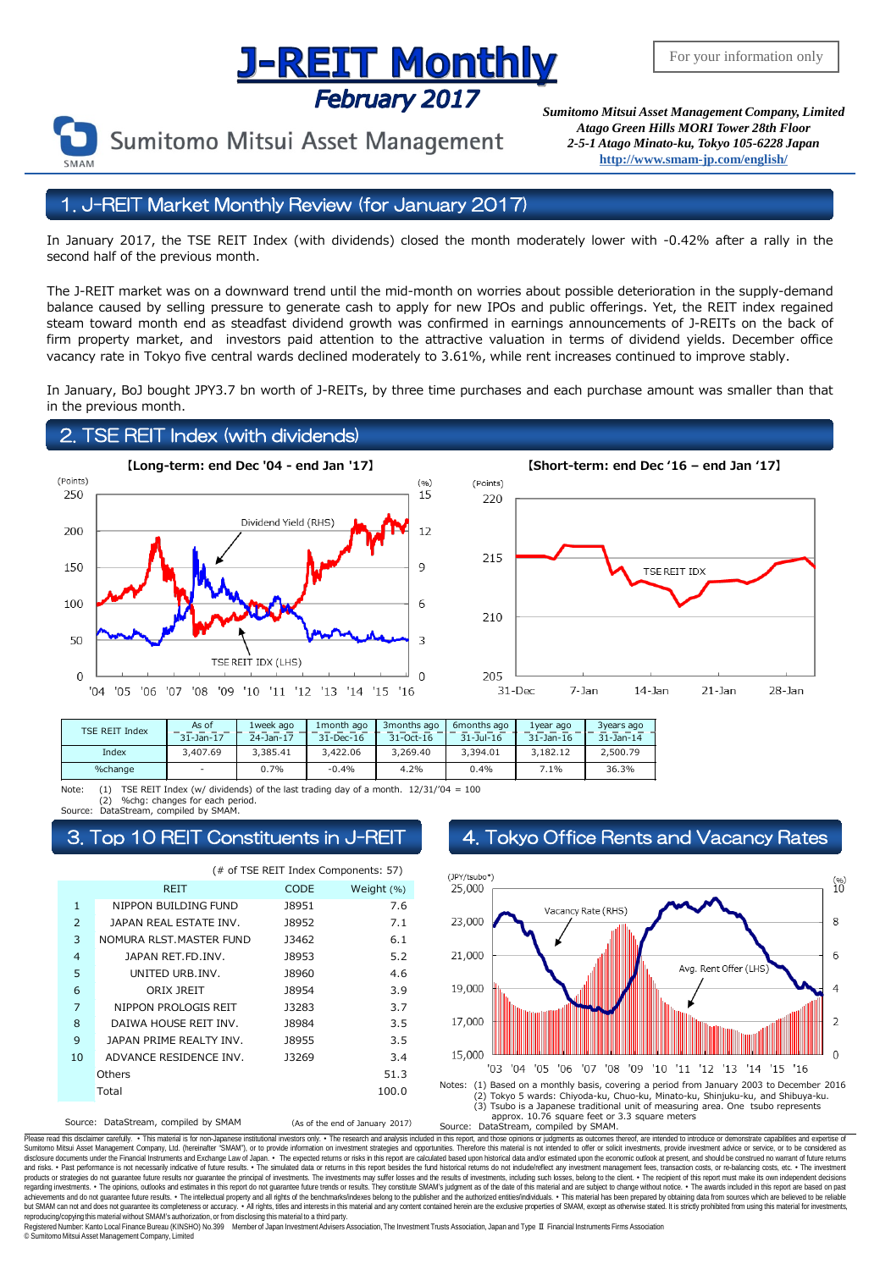# **J-REIT MONTHLY**<br>February 2017<br>*Sumitomo Mitsui Asset Management Company, Limited*



Sumitomo Mitsui Asset Management

*Atago Green Hills MORI Tower 28th Floor 2-5-1 Atago Minato-ku, Tokyo 105-6228 Japan* **<http://www.smam-jp.com/english/>**

## 1. J-REIT Market Monthly Review (for January 2017)

In January 2017, the TSE REIT Index (with dividends) closed the month moderately lower with -0.42% after a rally in the second half of the previous month.

The J-REIT market was on a downward trend until the mid-month on worries about possible deterioration in the supply-demand balance caused by selling pressure to generate cash to apply for new IPOs and public offerings. Yet, the REIT index regained steam toward month end as steadfast dividend growth was confirmed in earnings announcements of J-REITs on the back of firm property market, and investors paid attention to the attractive valuation in terms of dividend yields. December office vacancy rate in Tokyo five central wards declined moderately to 3.61%, while rent increases continued to improve stably.

In January, BoJ bought JPY3.7 bn worth of J-REITs, by three time purchases and each purchase amount was smaller than that in the previous month.

## 2. TSE REIT Index (with dividends)





| TSE REIT Index | As of<br>$31-$ Jan $-17$ | 1week ago<br>24-Jan-17 | 1 month ago<br>31-Dec-16 | 3 months ago<br>31-Oct-16 | 6months ago<br>$31 - Jul - 16$ | 1year ago<br>$31 - 1an - 16$ | 3years ago<br>$31 - Jan - 14$ |
|----------------|--------------------------|------------------------|--------------------------|---------------------------|--------------------------------|------------------------------|-------------------------------|
| Index          | 3,407.69                 | 3.385.41               | 3,422,06                 | 3.269.40                  | 3.394.01                       | 3.182.12                     | 2.500.79                      |
| %change        |                          | 0.7%                   | $-0.4%$                  | 4.2%                      | 0.4%                           | .1%                          | 36.3%                         |

Note: (1) TSE REIT Index (w/ dividends) of the last trading day of a month. 12/31/'04 = 100 (2) %chg: changes for each period. DataStream, compiled by SMAM.

Source: DataStream, compiled by SMAM (As of the end of January 2017) (# of TSE REIT Index Components: 57) CODE Weight (%) 1 NIPPON BUILDING FUND 18951 7.6 2 J8952 7.1 JAPAN REAL ESTATE INV. 3 NOMURA RLST.MASTER FUND 13462 6.1 4 J8953 5.2 JAPAN RET.FD.INV. 5 J8960 4.6 UNITED URB.INV. 6 J8954 3.9 ORIX JREIT 7 NIPPON PROLOGIS REIT 13283 3.7 8 J8984 3.5 DAIWA HOUSE REIT INV. 9 J8955 3.5 JAPAN PRIME REALTY INV.10 ADVANCE RESIDENCE INV. J3269 3.4 51.3 100.0 REIT **Others** Total

## Top 10 REIT Constituents in J-REIT 4. Tokyo Office Rents and Vacancy Rates



Please read this disclaimer carefully. . This material is for non-Japanese institutional investors only. . The research and analysis included in this report, and those opinions or judgments as outcomes thereof, are intende Sumitomo Mitsui Asset Management Company, Ltd. (hereinafter "SMAM"), or to provide information on investment strategies and opportunities. Therefore this material is not intended to offer or solicit investments, provide in disclosure documents under the Financial Instruments and Exchange Law of Japan. • The expected relums or risks in this report are calculated based upon historial data and/or estimated upon the economic outlook at present, products or strategies do not guarantee future results nor guarantee the principal of investments. The investments may suffer losses and the results of investments, including such losses, belong to the client. . The recipi regarding investments. • The opinions, outlooks and estimates in this report do not guarantee future trends or results. They constitute SMAM's judgment as of the date of this material and are subject to change without noti reproducing/copying this material without SMAM's authorization, or from disclosing thismaterial to a third party.

egistered Number: Kanto Local Finance Bureau (KINSHO) No.399 Member of Japan Investment Advisers Association, The Investment Trusts Association, Japan and Type Ⅱ Financial Instruments Firms Association © SumitomoMitsui Asset Management Company, Limited